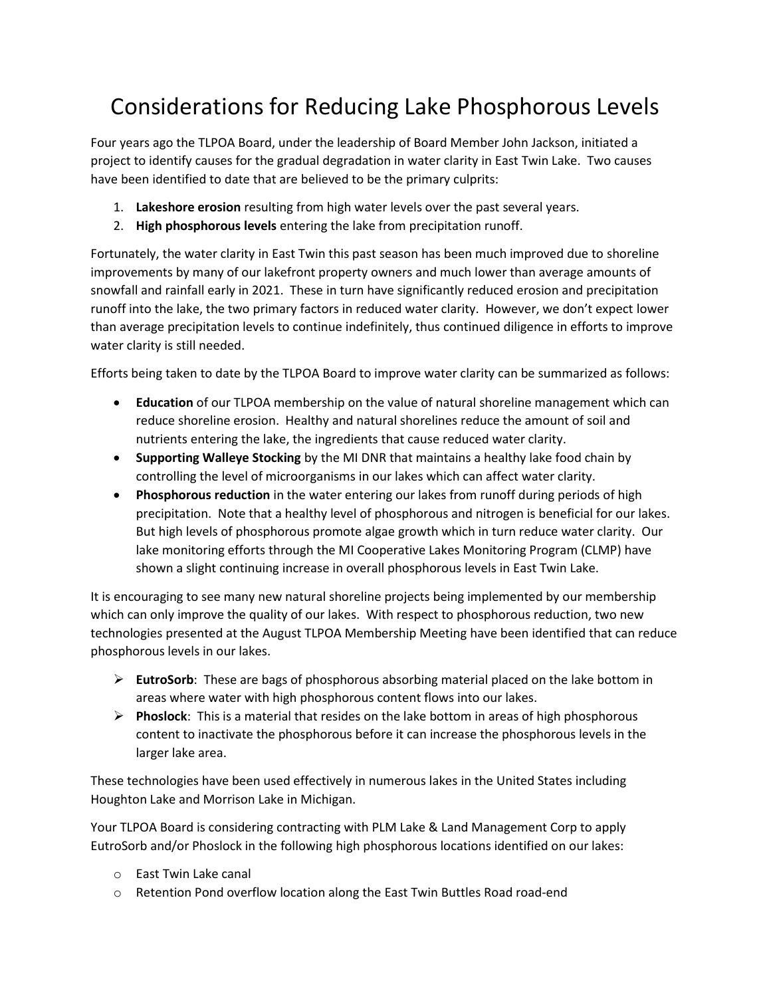## Considerations for Reducing Lake Phosphorous Levels

Four years ago the TLPOA Board, under the leadership of Board Member John Jackson, initiated a project to identify causes for the gradual degradation in water clarity in East Twin Lake. Two causes have been identified to date that are believed to be the primary culprits:

- 1. **Lakeshore erosion** resulting from high water levels over the past several years.
- 2. **High phosphorous levels** entering the lake from precipitation runoff.

Fortunately, the water clarity in East Twin this past season has been much improved due to shoreline improvements by many of our lakefront property owners and much lower than average amounts of snowfall and rainfall early in 2021. These in turn have significantly reduced erosion and precipitation runoff into the lake, the two primary factors in reduced water clarity. However, we don't expect lower than average precipitation levels to continue indefinitely, thus continued diligence in efforts to improve water clarity is still needed.

Efforts being taken to date by the TLPOA Board to improve water clarity can be summarized as follows:

- **Education** of our TLPOA membership on the value of natural shoreline management which can reduce shoreline erosion. Healthy and natural shorelines reduce the amount of soil and nutrients entering the lake, the ingredients that cause reduced water clarity.
- **Supporting Walleye Stocking** by the MI DNR that maintains a healthy lake food chain by controlling the level of microorganisms in our lakes which can affect water clarity.
- **Phosphorous reduction** in the water entering our lakes from runoff during periods of high precipitation. Note that a healthy level of phosphorous and nitrogen is beneficial for our lakes. But high levels of phosphorous promote algae growth which in turn reduce water clarity. Our lake monitoring efforts through the MI Cooperative Lakes Monitoring Program (CLMP) have shown a slight continuing increase in overall phosphorous levels in East Twin Lake.

It is encouraging to see many new natural shoreline projects being implemented by our membership which can only improve the quality of our lakes. With respect to phosphorous reduction, two new technologies presented at the August TLPOA Membership Meeting have been identified that can reduce phosphorous levels in our lakes.

- ➢ **EutroSorb**: These are bags of phosphorous absorbing material placed on the lake bottom in areas where water with high phosphorous content flows into our lakes.
- ➢ **Phoslock**: This is a material that resides on the lake bottom in areas of high phosphorous content to inactivate the phosphorous before it can increase the phosphorous levels in the larger lake area.

These technologies have been used effectively in numerous lakes in the United States including Houghton Lake and Morrison Lake in Michigan.

Your TLPOA Board is considering contracting with PLM Lake & Land Management Corp to apply EutroSorb and/or Phoslock in the following high phosphorous locations identified on our lakes:

- o East Twin Lake canal
- o Retention Pond overflow location along the East Twin Buttles Road road-end